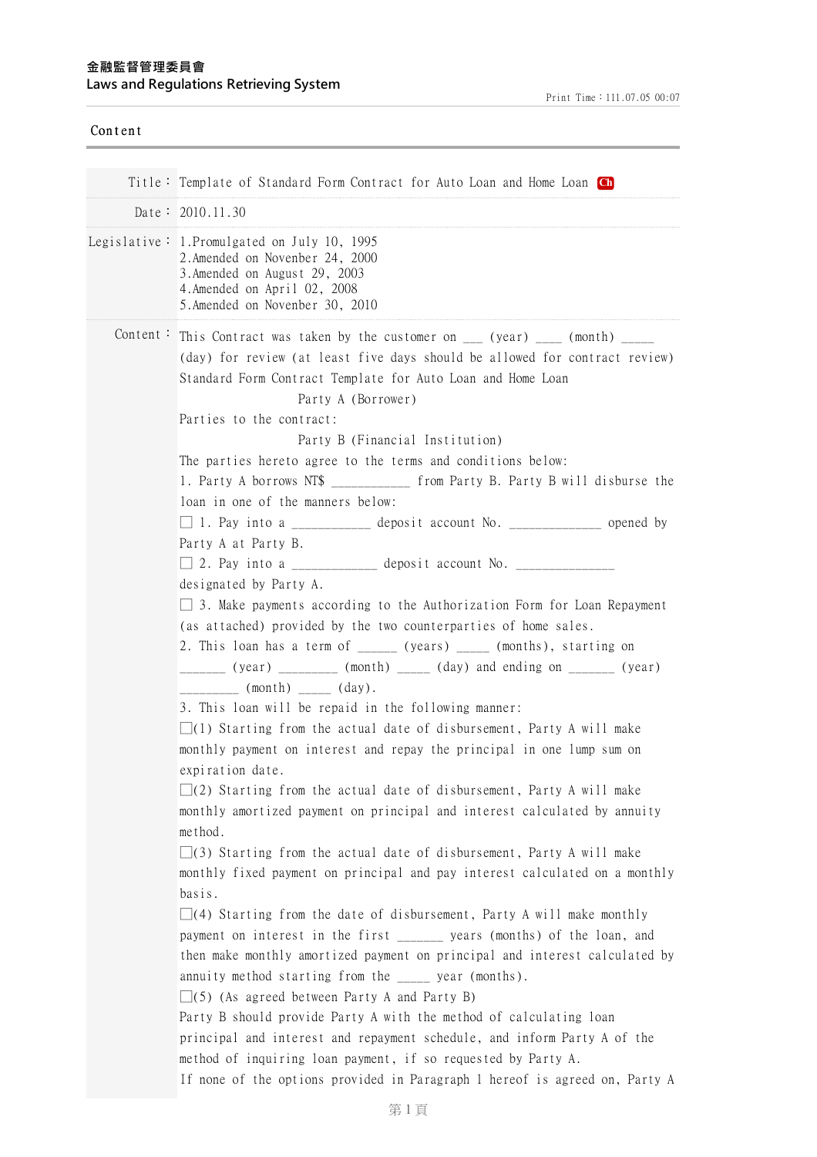| Content |                                                                                                                                                                                                                                                                                                                                                                                                                                                                                                                                                                                                                                                                                                                                                                                                                                                                                                                                                                                                                                                                                                                                                                                                                                                                                                                                                                                                                                                                                                                                                                                                                                                                                                                                                                                                                                                                                                                                                                                                                                                             |  |
|---------|-------------------------------------------------------------------------------------------------------------------------------------------------------------------------------------------------------------------------------------------------------------------------------------------------------------------------------------------------------------------------------------------------------------------------------------------------------------------------------------------------------------------------------------------------------------------------------------------------------------------------------------------------------------------------------------------------------------------------------------------------------------------------------------------------------------------------------------------------------------------------------------------------------------------------------------------------------------------------------------------------------------------------------------------------------------------------------------------------------------------------------------------------------------------------------------------------------------------------------------------------------------------------------------------------------------------------------------------------------------------------------------------------------------------------------------------------------------------------------------------------------------------------------------------------------------------------------------------------------------------------------------------------------------------------------------------------------------------------------------------------------------------------------------------------------------------------------------------------------------------------------------------------------------------------------------------------------------------------------------------------------------------------------------------------------------|--|
|         |                                                                                                                                                                                                                                                                                                                                                                                                                                                                                                                                                                                                                                                                                                                                                                                                                                                                                                                                                                                                                                                                                                                                                                                                                                                                                                                                                                                                                                                                                                                                                                                                                                                                                                                                                                                                                                                                                                                                                                                                                                                             |  |
|         | Title: Template of Standard Form Contract for Auto Loan and Home Loan Ch                                                                                                                                                                                                                                                                                                                                                                                                                                                                                                                                                                                                                                                                                                                                                                                                                                                                                                                                                                                                                                                                                                                                                                                                                                                                                                                                                                                                                                                                                                                                                                                                                                                                                                                                                                                                                                                                                                                                                                                    |  |
|         | Date: 2010.11.30                                                                                                                                                                                                                                                                                                                                                                                                                                                                                                                                                                                                                                                                                                                                                                                                                                                                                                                                                                                                                                                                                                                                                                                                                                                                                                                                                                                                                                                                                                                                                                                                                                                                                                                                                                                                                                                                                                                                                                                                                                            |  |
|         | 2. Amended on Novenber 24, 2000<br>3. Amended on August 29, 2003<br>4. Amended on April 02, 2008<br>5. Amended on Novenber 30, 2010                                                                                                                                                                                                                                                                                                                                                                                                                                                                                                                                                                                                                                                                                                                                                                                                                                                                                                                                                                                                                                                                                                                                                                                                                                                                                                                                                                                                                                                                                                                                                                                                                                                                                                                                                                                                                                                                                                                         |  |
|         | Legislative: 1. Promulgated on July 10, 1995<br>Content: This Contract was taken by the customer on $\frac{1}{\sqrt{1-\frac{1}{n}}}$ (month) $\frac{1}{\sqrt{1-\frac{1}{n}}}$<br>(day) for review (at least five days should be allowed for contract review)<br>Standard Form Contract Template for Auto Loan and Home Loan<br>Party A (Borrower)<br>Parties to the contract:<br>Party B (Financial Institution)<br>The parties hereto agree to the terms and conditions below:<br>1. Party A borrows NT\$ ___________ from Party B. Party B will disburse the<br>loan in one of the manners below:<br>$\Box$ 1. Pay into a ___________ deposit account No. ____________ opened by<br>Party A at Party B.<br>designated by Party A.<br>$\Box$ 3. Make payments according to the Authorization Form for Loan Repayment<br>(as attached) provided by the two counterparties of home sales.<br>2. This loan has a term of ______ (years) _____ (months), starting on<br>________ (year) _________ (month) _____ (day) and ending on _______ (year)<br>$\begin{array}{cccc} \hline \end{array}$ (month) ______ (day).<br>3. This loan will be repaid in the following manner:<br>$\Box(1)$ Starting from the actual date of disbursement, Party A will make<br>monthly payment on interest and repay the principal in one lump sum on<br>expiration date.<br>$\Box$ (2) Starting from the actual date of disbursement, Party A will make<br>monthly amortized payment on principal and interest calculated by annuity<br>method.<br>$\Box(3)$ Starting from the actual date of disbursement, Party A will make<br>monthly fixed payment on principal and pay interest calculated on a monthly<br>basis.<br>$\Box$ (4) Starting from the date of disbursement, Party A will make monthly<br>payment on interest in the first ______ years (months) of the loan, and<br>then make monthly amortized payment on principal and interest calculated by<br>annuity method starting from the _____ year (months).<br>$\Box(5)$ (As agreed between Party A and Party B) |  |
|         | Party B should provide Party A with the method of calculating loan<br>principal and interest and repayment schedule, and inform Party A of the<br>method of inquiring loan payment, if so requested by Party A.                                                                                                                                                                                                                                                                                                                                                                                                                                                                                                                                                                                                                                                                                                                                                                                                                                                                                                                                                                                                                                                                                                                                                                                                                                                                                                                                                                                                                                                                                                                                                                                                                                                                                                                                                                                                                                             |  |
|         | If none of the options provided in Paragraph 1 hereof is agreed on, Party A                                                                                                                                                                                                                                                                                                                                                                                                                                                                                                                                                                                                                                                                                                                                                                                                                                                                                                                                                                                                                                                                                                                                                                                                                                                                                                                                                                                                                                                                                                                                                                                                                                                                                                                                                                                                                                                                                                                                                                                 |  |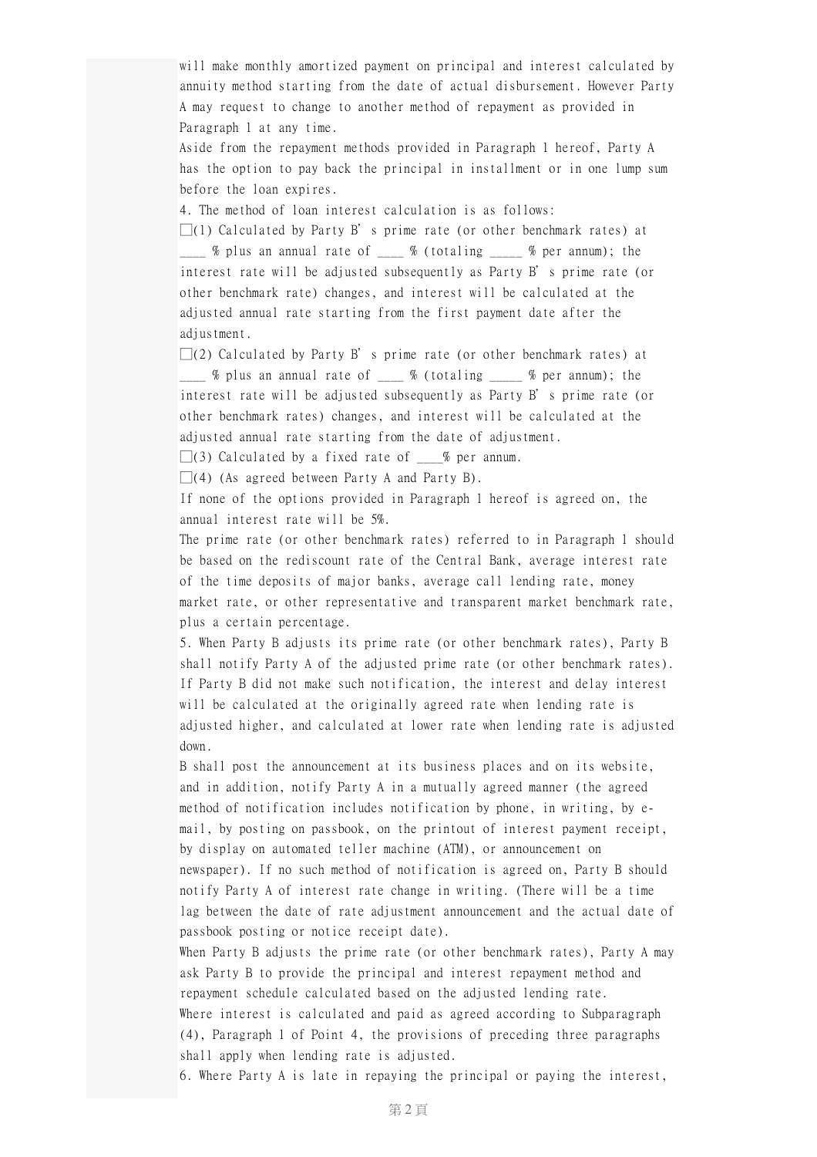will make monthly amortized payment on principal and interest calculated by annuity method starting from the date of actual disbursement. However Party A may request to change to another method of repayment as provided in Paragraph 1 at any time.

Aside from the repayment methods provided in Paragraph 1 hereof, Party A has the option to pay back the principal in installment or in one lump sum before the loan expires.

4. The method of loan interest calculation is as follows:

 $\Box(1)$  Calculated by Party B's prime rate (or other benchmark rates) at  $\frac{1}{2}$  % plus an annual rate of  $\frac{1}{2}$  % (totaling  $\frac{1}{2}$  % per annum); the interest rate will be adjusted subsequently as Party B's prime rate (or other benchmark rate) changes, and interest will be calculated at the adjusted annual rate starting from the first payment date after the adjustment.

 $\square(2)$  Calculated by Party B's prime rate (or other benchmark rates) at  $\frac{1}{2}$  % plus an annual rate of  $\frac{1}{2}$  % (totaling  $\frac{1}{2}$  % per annum); the interest rate will be adjusted subsequently as Party B's prime rate (or other benchmark rates) changes, and interest will be calculated at the adjusted annual rate starting from the date of adjustment.

 $\square(3)$  Calculated by a fixed rate of  $\_\_\_\%$  per annum.

 $\Box$ (4) (As agreed between Party A and Party B).

If none of the options provided in Paragraph 1 hereof is agreed on, the annual interest rate will be 5%.

The prime rate (or other benchmark rates) referred to in Paragraph 1 should be based on the rediscount rate of the Central Bank, average interest rate of the time deposits of major banks, average call lending rate, money market rate, or other representative and transparent market benchmark rate, plus a certain percentage.

5. When Party B adjusts its prime rate (or other benchmark rates), Party B shall notify Party A of the adjusted prime rate (or other benchmark rates). If Party B did not make such notification, the interest and delay interest will be calculated at the originally agreed rate when lending rate is adjusted higher, and calculated at lower rate when lending rate is adjusted down.

B shall post the announcement at its business places and on its website, and in addition, notify Party A in a mutually agreed manner (the agreed method of notification includes notification by phone, in writing, by email, by posting on passbook, on the printout of interest payment receipt, by display on automated teller machine (ATM), or announcement on newspaper). If no such method of notification is agreed on, Party B should notify Party A of interest rate change in writing. (There will be a time lag between the date of rate adjustment announcement and the actual date of passbook posting or notice receipt date).

When Party B adjusts the prime rate (or other benchmark rates), Party A may ask Party B to provide the principal and interest repayment method and repayment schedule calculated based on the adjusted lending rate. Where interest is calculated and paid as agreed according to Subparagraph (4), Paragraph 1 of Point 4, the provisions of preceding three paragraphs

shall apply when lending rate is adjusted.

6. Where Party A is late in repaying the principal or paying the interest,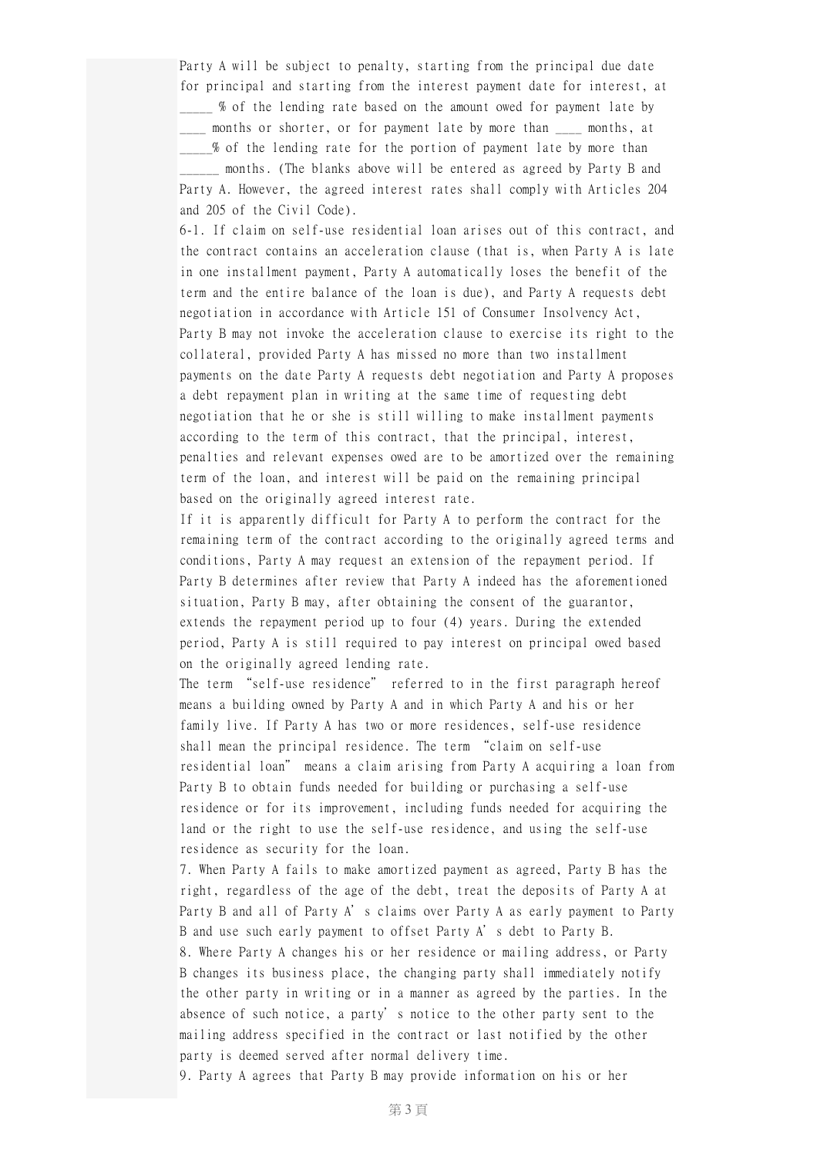Party A will be subject to penalty, starting from the principal due date for principal and starting from the interest payment date for interest, at \_\_\_\_\_ % of the lending rate based on the amount owed for payment late by \_\_\_\_ months or shorter, or for payment late by more than \_\_\_\_ months, at % of the lending rate for the portion of payment late by more than months. (The blanks above will be entered as agreed by Party B and Party A. However, the agreed interest rates shall comply with Articles 204 and 205 of the Civil Code).

6-1. If claim on self-use residential loan arises out of this contract, and the contract contains an acceleration clause (that is, when Party A is late in one installment payment, Party A automatically loses the benefit of the term and the entire balance of the loan is due), and Party A requests debt negotiation in accordance with Article 151 of Consumer Insolvency Act, Party B may not invoke the acceleration clause to exercise its right to the collateral, provided Party A has missed no more than two installment payments on the date Party A requests debt negotiation and Party A proposes a debt repayment plan in writing at the same time of requesting debt negotiation that he or she is still willing to make installment payments according to the term of this contract, that the principal, interest, penalties and relevant expenses owed are to be amortized over the remaining term of the loan, and interest will be paid on the remaining principal based on the originally agreed interest rate.

If it is apparently difficult for Party A to perform the contract for the remaining term of the contract according to the originally agreed terms and conditions, Party A may request an extension of the repayment period. If Party B determines after review that Party A indeed has the aforementioned situation, Party B may, after obtaining the consent of the guarantor, extends the repayment period up to four (4) years. During the extended period, Party A is still required to pay interest on principal owed based on the originally agreed lending rate.

The term "self-use residence" referred to in the first paragraph hereof means a building owned by Party A and in which Party A and his or her family live. If Party A has two or more residences, self-use residence shall mean the principal residence. The term "claim on self-use residential loan" means a claim arising from Party A acquiring a loan from Party B to obtain funds needed for building or purchasing a self-use residence or for its improvement, including funds needed for acquiring the land or the right to use the self-use residence, and using the self-use residence as security for the loan.

7. When Party A fails to make amortized payment as agreed, Party B has the right, regardless of the age of the debt, treat the deposits of Party A at Party B and all of Party A's claims over Party A as early payment to Party B and use such early payment to offset Party A's debt to Party B. 8. Where Party A changes his or her residence or mailing address, or Party B changes its business place, the changing party shall immediately notify the other party in writing or in a manner as agreed by the parties. In the absence of such notice, a party's notice to the other party sent to the mailing address specified in the contract or last notified by the other party is deemed served after normal delivery time.

9. Party A agrees that Party B may provide information on his or her